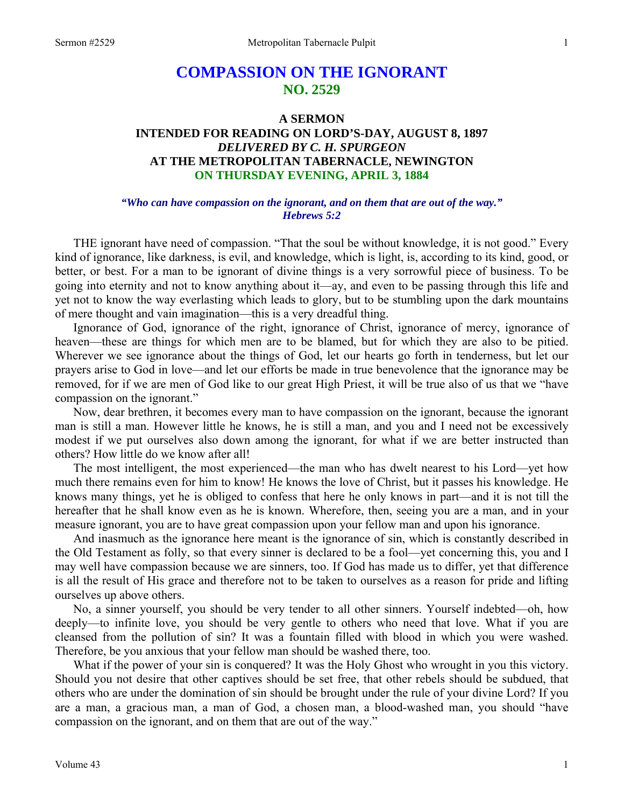# **COMPASSION ON THE IGNORANT NO. 2529**

## **A SERMON INTENDED FOR READING ON LORD'S-DAY, AUGUST 8, 1897**  *DELIVERED BY C. H. SPURGEON*  **AT THE METROPOLITAN TABERNACLE, NEWINGTON ON THURSDAY EVENING, APRIL 3, 1884**

#### *"Who can have compassion on the ignorant, and on them that are out of the way." Hebrews 5:2*

THE ignorant have need of compassion. "That the soul be without knowledge, it is not good." Every kind of ignorance, like darkness, is evil, and knowledge, which is light, is, according to its kind, good, or better, or best. For a man to be ignorant of divine things is a very sorrowful piece of business. To be going into eternity and not to know anything about it—ay, and even to be passing through this life and yet not to know the way everlasting which leads to glory, but to be stumbling upon the dark mountains of mere thought and vain imagination—this is a very dreadful thing.

Ignorance of God, ignorance of the right, ignorance of Christ, ignorance of mercy, ignorance of heaven—these are things for which men are to be blamed, but for which they are also to be pitied. Wherever we see ignorance about the things of God, let our hearts go forth in tenderness, but let our prayers arise to God in love—and let our efforts be made in true benevolence that the ignorance may be removed, for if we are men of God like to our great High Priest, it will be true also of us that we "have compassion on the ignorant."

Now, dear brethren, it becomes every man to have compassion on the ignorant, because the ignorant man is still a man. However little he knows, he is still a man, and you and I need not be excessively modest if we put ourselves also down among the ignorant, for what if we are better instructed than others? How little do we know after all!

The most intelligent, the most experienced—the man who has dwelt nearest to his Lord—yet how much there remains even for him to know! He knows the love of Christ, but it passes his knowledge. He knows many things, yet he is obliged to confess that here he only knows in part—and it is not till the hereafter that he shall know even as he is known. Wherefore, then, seeing you are a man, and in your measure ignorant, you are to have great compassion upon your fellow man and upon his ignorance.

And inasmuch as the ignorance here meant is the ignorance of sin, which is constantly described in the Old Testament as folly, so that every sinner is declared to be a fool—yet concerning this, you and I may well have compassion because we are sinners, too. If God has made us to differ, yet that difference is all the result of His grace and therefore not to be taken to ourselves as a reason for pride and lifting ourselves up above others.

No, a sinner yourself, you should be very tender to all other sinners. Yourself indebted—oh, how deeply—to infinite love, you should be very gentle to others who need that love. What if you are cleansed from the pollution of sin? It was a fountain filled with blood in which you were washed. Therefore, be you anxious that your fellow man should be washed there, too.

What if the power of your sin is conquered? It was the Holy Ghost who wrought in you this victory. Should you not desire that other captives should be set free, that other rebels should be subdued, that others who are under the domination of sin should be brought under the rule of your divine Lord? If you are a man, a gracious man, a man of God, a chosen man, a blood-washed man, you should "have compassion on the ignorant, and on them that are out of the way."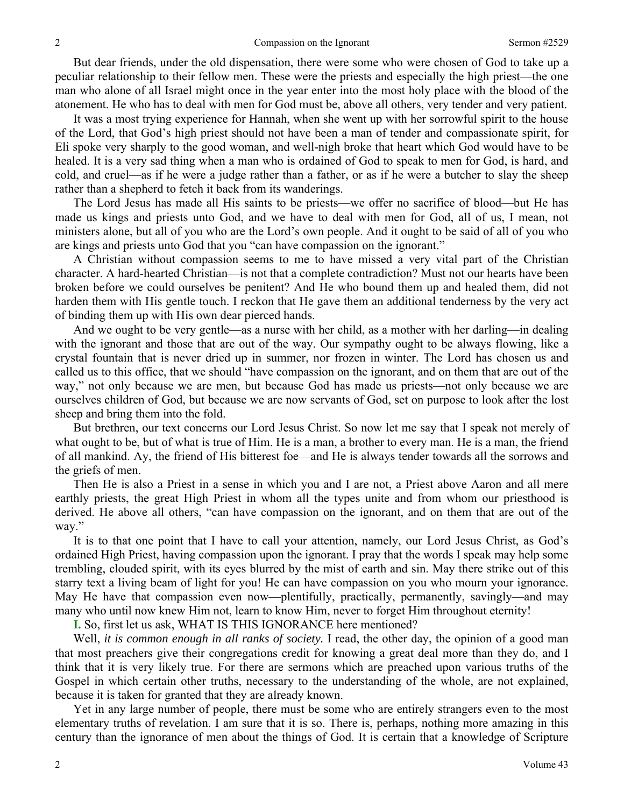But dear friends, under the old dispensation, there were some who were chosen of God to take up a peculiar relationship to their fellow men. These were the priests and especially the high priest—the one man who alone of all Israel might once in the year enter into the most holy place with the blood of the atonement. He who has to deal with men for God must be, above all others, very tender and very patient.

It was a most trying experience for Hannah, when she went up with her sorrowful spirit to the house of the Lord, that God's high priest should not have been a man of tender and compassionate spirit, for Eli spoke very sharply to the good woman, and well-nigh broke that heart which God would have to be healed. It is a very sad thing when a man who is ordained of God to speak to men for God, is hard, and cold, and cruel—as if he were a judge rather than a father, or as if he were a butcher to slay the sheep rather than a shepherd to fetch it back from its wanderings.

The Lord Jesus has made all His saints to be priests—we offer no sacrifice of blood—but He has made us kings and priests unto God, and we have to deal with men for God, all of us, I mean, not ministers alone, but all of you who are the Lord's own people. And it ought to be said of all of you who are kings and priests unto God that you "can have compassion on the ignorant."

A Christian without compassion seems to me to have missed a very vital part of the Christian character. A hard-hearted Christian—is not that a complete contradiction? Must not our hearts have been broken before we could ourselves be penitent? And He who bound them up and healed them, did not harden them with His gentle touch. I reckon that He gave them an additional tenderness by the very act of binding them up with His own dear pierced hands.

And we ought to be very gentle—as a nurse with her child, as a mother with her darling—in dealing with the ignorant and those that are out of the way. Our sympathy ought to be always flowing, like a crystal fountain that is never dried up in summer, nor frozen in winter. The Lord has chosen us and called us to this office, that we should "have compassion on the ignorant, and on them that are out of the way," not only because we are men, but because God has made us priests—not only because we are ourselves children of God, but because we are now servants of God, set on purpose to look after the lost sheep and bring them into the fold.

But brethren, our text concerns our Lord Jesus Christ. So now let me say that I speak not merely of what ought to be, but of what is true of Him. He is a man, a brother to every man. He is a man, the friend of all mankind. Ay, the friend of His bitterest foe—and He is always tender towards all the sorrows and the griefs of men.

Then He is also a Priest in a sense in which you and I are not, a Priest above Aaron and all mere earthly priests, the great High Priest in whom all the types unite and from whom our priesthood is derived. He above all others, "can have compassion on the ignorant, and on them that are out of the way."

It is to that one point that I have to call your attention, namely, our Lord Jesus Christ, as God's ordained High Priest, having compassion upon the ignorant. I pray that the words I speak may help some trembling, clouded spirit, with its eyes blurred by the mist of earth and sin. May there strike out of this starry text a living beam of light for you! He can have compassion on you who mourn your ignorance. May He have that compassion even now—plentifully, practically, permanently, savingly—and may many who until now knew Him not, learn to know Him, never to forget Him throughout eternity!

**I.** So, first let us ask, WHAT IS THIS IGNORANCE here mentioned?

Well, *it is common enough in all ranks of society.* I read, the other day, the opinion of a good man that most preachers give their congregations credit for knowing a great deal more than they do, and I think that it is very likely true. For there are sermons which are preached upon various truths of the Gospel in which certain other truths, necessary to the understanding of the whole, are not explained, because it is taken for granted that they are already known.

Yet in any large number of people, there must be some who are entirely strangers even to the most elementary truths of revelation. I am sure that it is so. There is, perhaps, nothing more amazing in this century than the ignorance of men about the things of God. It is certain that a knowledge of Scripture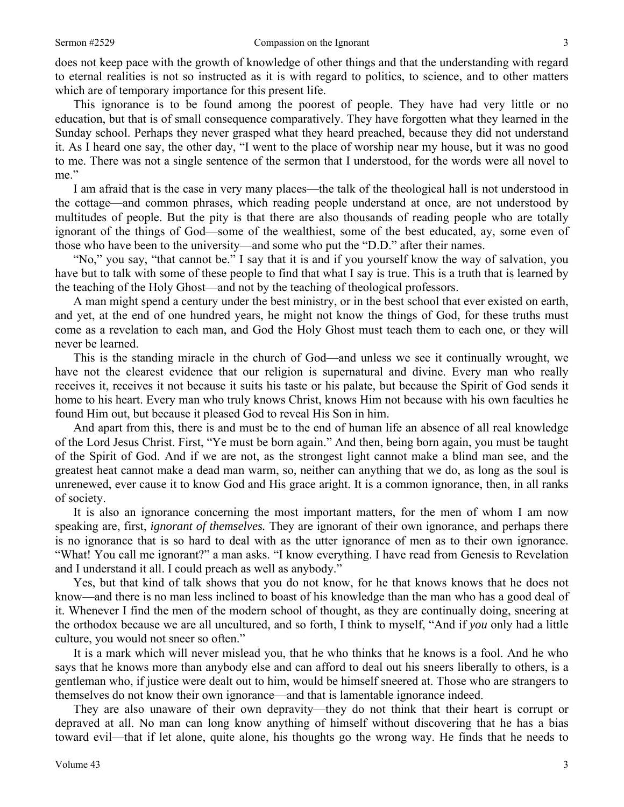does not keep pace with the growth of knowledge of other things and that the understanding with regard to eternal realities is not so instructed as it is with regard to politics, to science, and to other matters which are of temporary importance for this present life.

This ignorance is to be found among the poorest of people. They have had very little or no education, but that is of small consequence comparatively. They have forgotten what they learned in the Sunday school. Perhaps they never grasped what they heard preached, because they did not understand it. As I heard one say, the other day, "I went to the place of worship near my house, but it was no good to me. There was not a single sentence of the sermon that I understood, for the words were all novel to me."

I am afraid that is the case in very many places—the talk of the theological hall is not understood in the cottage—and common phrases, which reading people understand at once, are not understood by multitudes of people. But the pity is that there are also thousands of reading people who are totally ignorant of the things of God—some of the wealthiest, some of the best educated, ay, some even of those who have been to the university—and some who put the "D.D." after their names.

"No," you say, "that cannot be." I say that it is and if you yourself know the way of salvation, you have but to talk with some of these people to find that what I say is true. This is a truth that is learned by the teaching of the Holy Ghost—and not by the teaching of theological professors.

A man might spend a century under the best ministry, or in the best school that ever existed on earth, and yet, at the end of one hundred years, he might not know the things of God, for these truths must come as a revelation to each man, and God the Holy Ghost must teach them to each one, or they will never be learned.

This is the standing miracle in the church of God—and unless we see it continually wrought, we have not the clearest evidence that our religion is supernatural and divine. Every man who really receives it, receives it not because it suits his taste or his palate, but because the Spirit of God sends it home to his heart. Every man who truly knows Christ, knows Him not because with his own faculties he found Him out, but because it pleased God to reveal His Son in him.

And apart from this, there is and must be to the end of human life an absence of all real knowledge of the Lord Jesus Christ. First, "Ye must be born again." And then, being born again, you must be taught of the Spirit of God. And if we are not, as the strongest light cannot make a blind man see, and the greatest heat cannot make a dead man warm, so*,* neither can anything that we do, as long as the soul is unrenewed, ever cause it to know God and His grace aright. It is a common ignorance, then, in all ranks of society.

It is also an ignorance concerning the most important matters, for the men of whom I am now speaking are, first, *ignorant of themselves.* They are ignorant of their own ignorance, and perhaps there is no ignorance that is so hard to deal with as the utter ignorance of men as to their own ignorance. "What! You call me ignorant?" a man asks. "I know everything. I have read from Genesis to Revelation and I understand it all. I could preach as well as anybody."

Yes, but that kind of talk shows that you do not know, for he that knows knows that he does not know—and there is no man less inclined to boast of his knowledge than the man who has a good deal of it. Whenever I find the men of the modern school of thought, as they are continually doing, sneering at the orthodox because we are all uncultured, and so forth, I think to myself, "And if *you* only had a little culture, you would not sneer so often."

It is a mark which will never mislead you, that he who thinks that he knows is a fool. And he who says that he knows more than anybody else and can afford to deal out his sneers liberally to others, is a gentleman who, if justice were dealt out to him, would be himself sneered at. Those who are strangers to themselves do not know their own ignorance—and that is lamentable ignorance indeed.

They are also unaware of their own depravity—they do not think that their heart is corrupt or depraved at all. No man can long know anything of himself without discovering that he has a bias toward evil—that if let alone, quite alone, his thoughts go the wrong way. He finds that he needs to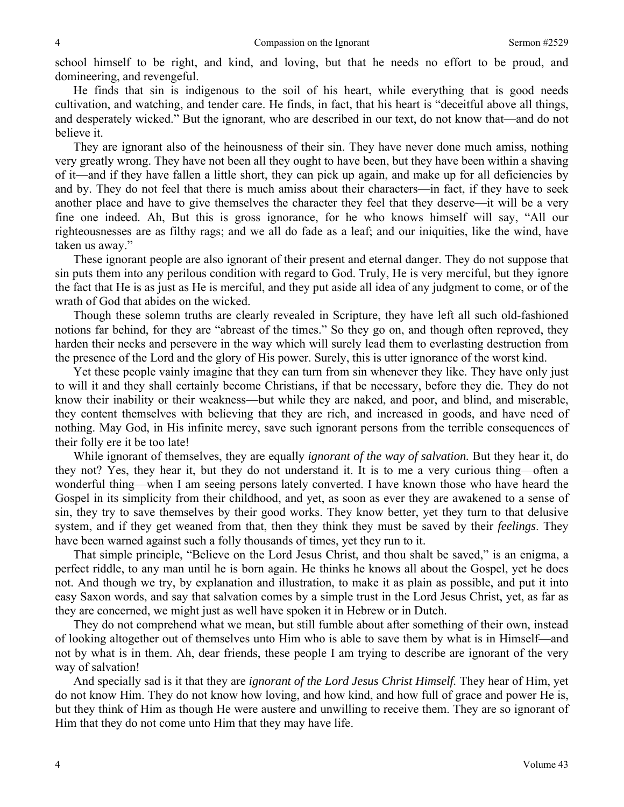school himself to be right, and kind, and loving, but that he needs no effort to be proud, and domineering, and revengeful.

He finds that sin is indigenous to the soil of his heart, while everything that is good needs cultivation, and watching, and tender care. He finds, in fact, that his heart is "deceitful above all things, and desperately wicked." But the ignorant, who are described in our text, do not know that—and do not believe it.

They are ignorant also of the heinousness of their sin. They have never done much amiss, nothing very greatly wrong. They have not been all they ought to have been, but they have been within a shaving of it—and if they have fallen a little short, they can pick up again, and make up for all deficiencies by and by. They do not feel that there is much amiss about their characters—in fact, if they have to seek another place and have to give themselves the character they feel that they deserve—it will be a very fine one indeed. Ah, But this is gross ignorance, for he who knows himself will say, "All our righteousnesses are as filthy rags; and we all do fade as a leaf; and our iniquities, like the wind, have taken us away."

These ignorant people are also ignorant of their present and eternal danger. They do not suppose that sin puts them into any perilous condition with regard to God. Truly, He is very merciful, but they ignore the fact that He is as just as He is merciful, and they put aside all idea of any judgment to come, or of the wrath of God that abides on the wicked.

Though these solemn truths are clearly revealed in Scripture, they have left all such old-fashioned notions far behind, for they are "abreast of the times." So they go on, and though often reproved, they harden their necks and persevere in the way which will surely lead them to everlasting destruction from the presence of the Lord and the glory of His power. Surely, this is utter ignorance of the worst kind.

Yet these people vainly imagine that they can turn from sin whenever they like. They have only just to will it and they shall certainly become Christians, if that be necessary, before they die. They do not know their inability or their weakness—but while they are naked, and poor, and blind, and miserable, they content themselves with believing that they are rich, and increased in goods, and have need of nothing. May God, in His infinite mercy, save such ignorant persons from the terrible consequences of their folly ere it be too late!

While ignorant of themselves, they are equally *ignorant of the way of salvation.* But they hear it, do they not? Yes, they hear it, but they do not understand it. It is to me a very curious thing—often a wonderful thing—when I am seeing persons lately converted. I have known those who have heard the Gospel in its simplicity from their childhood, and yet, as soon as ever they are awakened to a sense of sin, they try to save themselves by their good works. They know better, yet they turn to that delusive system, and if they get weaned from that, then they think they must be saved by their *feelings*. They have been warned against such a folly thousands of times, yet they run to it.

That simple principle, "Believe on the Lord Jesus Christ, and thou shalt be saved," is an enigma, a perfect riddle, to any man until he is born again. He thinks he knows all about the Gospel, yet he does not. And though we try, by explanation and illustration, to make it as plain as possible, and put it into easy Saxon words, and say that salvation comes by a simple trust in the Lord Jesus Christ, yet, as far as they are concerned, we might just as well have spoken it in Hebrew or in Dutch.

They do not comprehend what we mean, but still fumble about after something of their own, instead of looking altogether out of themselves unto Him who is able to save them by what is in Himself—and not by what is in them. Ah, dear friends, these people I am trying to describe are ignorant of the very way of salvation!

And specially sad is it that they are *ignorant of the Lord Jesus Christ Himself.* They hear of Him, yet do not know Him. They do not know how loving, and how kind, and how full of grace and power He is, but they think of Him as though He were austere and unwilling to receive them. They are so ignorant of Him that they do not come unto Him that they may have life.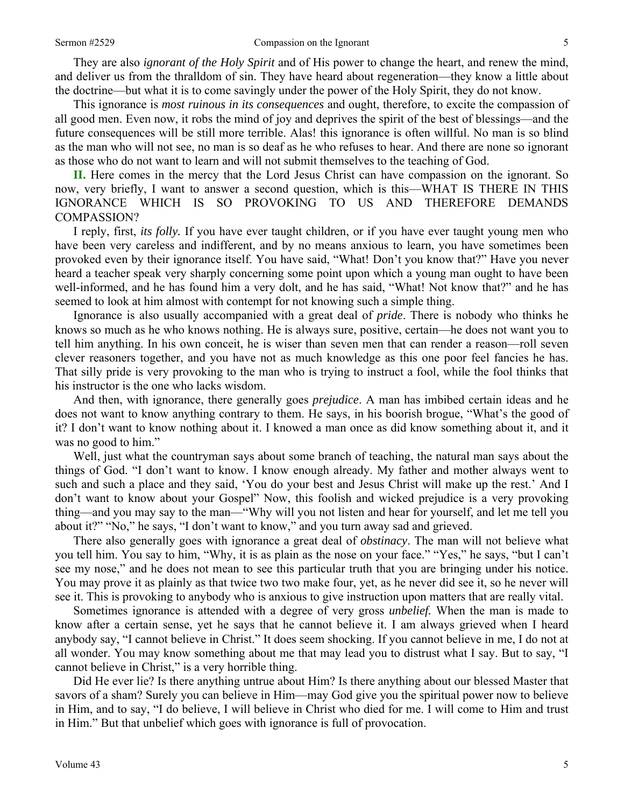They are also *ignorant of the Holy Spirit* and of His power to change the heart, and renew the mind, and deliver us from the thralldom of sin. They have heard about regeneration—they know a little about the doctrine—but what it is to come savingly under the power of the Holy Spirit, they do not know.

This ignorance is *most ruinous in its consequences* and ought, therefore, to excite the compassion of all good men. Even now, it robs the mind of joy and deprives the spirit of the best of blessings—and the future consequences will be still more terrible. Alas! this ignorance is often willful. No man is so blind as the man who will not see, no man is so deaf as he who refuses to hear. And there are none so ignorant as those who do not want to learn and will not submit themselves to the teaching of God.

**II.** Here comes in the mercy that the Lord Jesus Christ can have compassion on the ignorant. So now, very briefly, I want to answer a second question, which is this—WHAT IS THERE IN THIS IGNORANCE WHICH IS SO PROVOKING TO US AND THEREFORE DEMANDS COMPASSION?

I reply, first, *its folly.* If you have ever taught children, or if you have ever taught young men who have been very careless and indifferent, and by no means anxious to learn, you have sometimes been provoked even by their ignorance itself. You have said, "What! Don't you know that?" Have you never heard a teacher speak very sharply concerning some point upon which a young man ought to have been well-informed, and he has found him a very dolt, and he has said, "What! Not know that?" and he has seemed to look at him almost with contempt for not knowing such a simple thing.

Ignorance is also usually accompanied with a great deal of *pride*. There is nobody who thinks he knows so much as he who knows nothing. He is always sure, positive, certain—he does not want you to tell him anything. In his own conceit, he is wiser than seven men that can render a reason—roll seven clever reasoners together, and you have not as much knowledge as this one poor feel fancies he has. That silly pride is very provoking to the man who is trying to instruct a fool, while the fool thinks that his instructor is the one who lacks wisdom.

And then, with ignorance, there generally goes *prejudice*. A man has imbibed certain ideas and he does not want to know anything contrary to them. He says, in his boorish brogue, "What's the good of it? I don't want to know nothing about it. I knowed a man once as did know something about it, and it was no good to him."

Well, just what the countryman says about some branch of teaching, the natural man says about the things of God. "I don't want to know. I know enough already. My father and mother always went to such and such a place and they said, 'You do your best and Jesus Christ will make up the rest.' And I don't want to know about your Gospel" Now, this foolish and wicked prejudice is a very provoking thing—and you may say to the man—"Why will you not listen and hear for yourself, and let me tell you about it?" "No," he says, "I don't want to know," and you turn away sad and grieved.

There also generally goes with ignorance a great deal of *obstinacy*. The man will not believe what you tell him. You say to him, "Why, it is as plain as the nose on your face." "Yes," he says, "but I can't see my nose," and he does not mean to see this particular truth that you are bringing under his notice. You may prove it as plainly as that twice two two make four, yet, as he never did see it, so he never will see it. This is provoking to anybody who is anxious to give instruction upon matters that are really vital.

Sometimes ignorance is attended with a degree of very gross *unbelief.* When the man is made to know after a certain sense, yet he says that he cannot believe it. I am always grieved when I heard anybody say, "I cannot believe in Christ." It does seem shocking. If you cannot believe in me, I do not at all wonder. You may know something about me that may lead you to distrust what I say. But to say, "I cannot believe in Christ," is a very horrible thing.

Did He ever lie? Is there anything untrue about Him? Is there anything about our blessed Master that savors of a sham? Surely you can believe in Him—may God give you the spiritual power now to believe in Him, and to say, "I do believe, I will believe in Christ who died for me. I will come to Him and trust in Him." But that unbelief which goes with ignorance is full of provocation.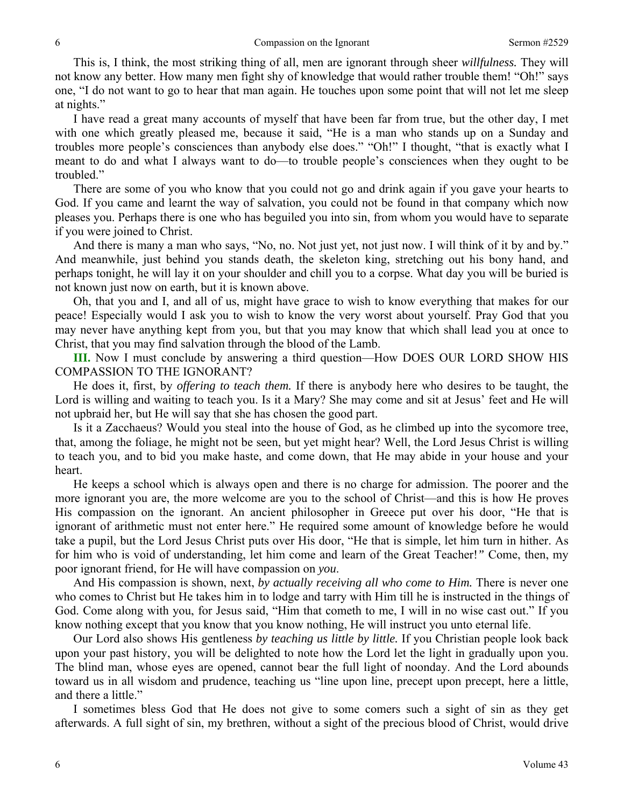This is, I think, the most striking thing of all, men are ignorant through sheer *willfulness.* They will not know any better. How many men fight shy of knowledge that would rather trouble them! "Oh!" says one, "I do not want to go to hear that man again. He touches upon some point that will not let me sleep at nights."

I have read a great many accounts of myself that have been far from true, but the other day, I met with one which greatly pleased me, because it said, "He is a man who stands up on a Sunday and troubles more people's consciences than anybody else does." "Oh!" I thought, "that is exactly what I meant to do and what I always want to do—to trouble people's consciences when they ought to be troubled."

There are some of you who know that you could not go and drink again if you gave your hearts to God. If you came and learnt the way of salvation, you could not be found in that company which now pleases you. Perhaps there is one who has beguiled you into sin, from whom you would have to separate if you were joined to Christ.

And there is many a man who says, "No, no. Not just yet, not just now. I will think of it by and by." And meanwhile, just behind you stands death, the skeleton king, stretching out his bony hand, and perhaps tonight, he will lay it on your shoulder and chill you to a corpse. What day you will be buried is not known just now on earth, but it is known above.

Oh, that you and I, and all of us, might have grace to wish to know everything that makes for our peace! Especially would I ask you to wish to know the very worst about yourself. Pray God that you may never have anything kept from you, but that you may know that which shall lead you at once to Christ, that you may find salvation through the blood of the Lamb.

**III.** Now I must conclude by answering a third question—How DOES OUR LORD SHOW HIS COMPASSION TO THE IGNORANT?

He does it, first, by *offering to teach them.* If there is anybody here who desires to be taught, the Lord is willing and waiting to teach you. Is it a Mary? She may come and sit at Jesus' feet and He will not upbraid her, but He will say that she has chosen the good part.

Is it a Zacchaeus? Would you steal into the house of God, as he climbed up into the sycomore tree, that, among the foliage, he might not be seen, but yet might hear? Well, the Lord Jesus Christ is willing to teach you, and to bid you make haste, and come down, that He may abide in your house and your heart.

He keeps a school which is always open and there is no charge for admission. The poorer and the more ignorant you are, the more welcome are you to the school of Christ—and this is how He proves His compassion on the ignorant. An ancient philosopher in Greece put over his door, "He that is ignorant of arithmetic must not enter here." He required some amount of knowledge before he would take a pupil, but the Lord Jesus Christ puts over His door, "He that is simple, let him turn in hither. As for him who is void of understanding, let him come and learn of the Great Teacher!*"* Come, then, my poor ignorant friend, for He will have compassion on *you*.

And His compassion is shown, next, *by actually receiving all who come to Him.* There is never one who comes to Christ but He takes him in to lodge and tarry with Him till he is instructed in the things of God. Come along with you, for Jesus said, "Him that cometh to me, I will in no wise cast out." If you know nothing except that you know that you know nothing, He will instruct you unto eternal life.

Our Lord also shows His gentleness *by teaching us little by little.* If you Christian people look back upon your past history, you will be delighted to note how the Lord let the light in gradually upon you. The blind man, whose eyes are opened, cannot bear the full light of noonday. And the Lord abounds toward us in all wisdom and prudence, teaching us "line upon line, precept upon precept, here a little, and there a little."

I sometimes bless God that He does not give to some comers such a sight of sin as they get afterwards. A full sight of sin, my brethren, without a sight of the precious blood of Christ, would drive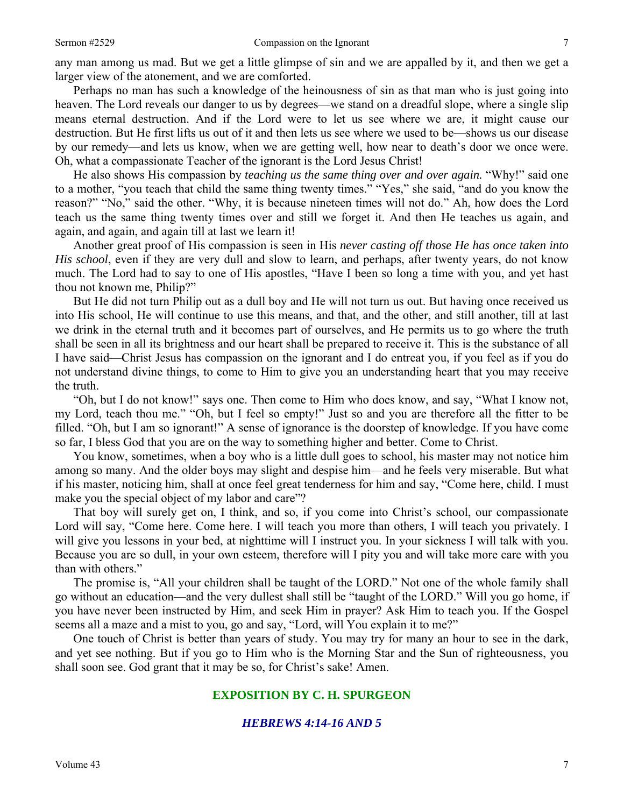any man among us mad. But we get a little glimpse of sin and we are appalled by it, and then we get a larger view of the atonement, and we are comforted.

Perhaps no man has such a knowledge of the heinousness of sin as that man who is just going into heaven. The Lord reveals our danger to us by degrees—we stand on a dreadful slope, where a single slip means eternal destruction. And if the Lord were to let us see where we are, it might cause our destruction. But He first lifts us out of it and then lets us see where we used to be—shows us our disease by our remedy—and lets us know, when we are getting well, how near to death's door we once were. Oh, what a compassionate Teacher of the ignorant is the Lord Jesus Christ!

He also shows His compassion by *teaching us the same thing over and over again.* "Why!" said one to a mother, "you teach that child the same thing twenty times." "Yes," she said, "and do you know the reason?" "No," said the other. "Why, it is because nineteen times will not do." Ah, how does the Lord teach us the same thing twenty times over and still we forget it. And then He teaches us again, and again, and again, and again till at last we learn it!

Another great proof of His compassion is seen in His *never casting off those He has once taken into His school*, even if they are very dull and slow to learn, and perhaps, after twenty years, do not know much. The Lord had to say to one of His apostles, "Have I been so long a time with you, and yet hast thou not known me, Philip?"

But He did not turn Philip out as a dull boy and He will not turn us out. But having once received us into His school, He will continue to use this means, and that, and the other, and still another, till at last we drink in the eternal truth and it becomes part of ourselves, and He permits us to go where the truth shall be seen in all its brightness and our heart shall be prepared to receive it. This is the substance of all I have said—Christ Jesus has compassion on the ignorant and I do entreat you, if you feel as if you do not understand divine things, to come to Him to give you an understanding heart that you may receive the truth.

"Oh, but I do not know!" says one. Then come to Him who does know, and say, "What I know not, my Lord, teach thou me." "Oh, but I feel so empty!" Just so and you are therefore all the fitter to be filled. "Oh, but I am so ignorant!" A sense of ignorance is the doorstep of knowledge. If you have come so far, I bless God that you are on the way to something higher and better. Come to Christ.

You know, sometimes, when a boy who is a little dull goes to school, his master may not notice him among so many. And the older boys may slight and despise him—and he feels very miserable. But what if his master, noticing him, shall at once feel great tenderness for him and say, "Come here, child. I must make you the special object of my labor and care"?

That boy will surely get on, I think, and so, if you come into Christ's school, our compassionate Lord will say, "Come here. Come here. I will teach you more than others, I will teach you privately. I will give you lessons in your bed, at nighttime will I instruct you. In your sickness I will talk with you. Because you are so dull, in your own esteem, therefore will I pity you and will take more care with you than with others."

The promise is, "All your children shall be taught of the LORD." Not one of the whole family shall go without an education—and the very dullest shall still be "taught of the LORD." Will you go home, if you have never been instructed by Him, and seek Him in prayer? Ask Him to teach you. If the Gospel seems all a maze and a mist to you, go and say, "Lord, will You explain it to me?"

One touch of Christ is better than years of study. You may try for many an hour to see in the dark, and yet see nothing. But if you go to Him who is the Morning Star and the Sun of righteousness, you shall soon see. God grant that it may be so, for Christ's sake! Amen.

#### **EXPOSITION BY C. H. SPURGEON**

#### *HEBREWS 4:14-16 AND 5*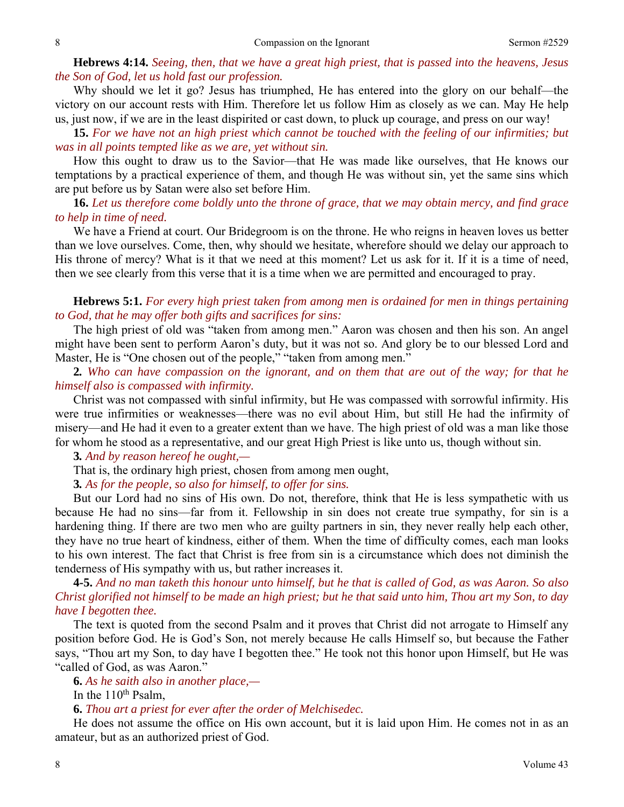**Hebrews 4:14.** *Seeing, then, that we have a great high priest, that is passed into the heavens, Jesus the Son of God, let us hold fast our profession.* 

Why should we let it go? Jesus has triumphed, He has entered into the glory on our behalf—the victory on our account rests with Him. Therefore let us follow Him as closely as we can. May He help us, just now, if we are in the least dispirited or cast down, to pluck up courage, and press on our way!

**15.** *For we have not an high priest which cannot be touched with the feeling of our infirmities; but was in all points tempted like as we are, yet without sin.* 

How this ought to draw us to the Savior—that He was made like ourselves, that He knows our temptations by a practical experience of them, and though He was without sin, yet the same sins which are put before us by Satan were also set before Him.

**16.** *Let us therefore come boldly unto the throne of grace, that we may obtain mercy, and find grace to help in time of need.* 

We have a Friend at court. Our Bridegroom is on the throne. He who reigns in heaven loves us better than we love ourselves. Come, then, why should we hesitate, wherefore should we delay our approach to His throne of mercy? What is it that we need at this moment? Let us ask for it. If it is a time of need, then we see clearly from this verse that it is a time when we are permitted and encouraged to pray.

**Hebrews 5:1.** *For every high priest taken from among men is ordained for men in things pertaining to God, that he may offer both gifts and sacrifices for sins:* 

The high priest of old was "taken from among men." Aaron was chosen and then his son. An angel might have been sent to perform Aaron's duty, but it was not so. And glory be to our blessed Lord and Master, He is "One chosen out of the people," "taken from among men."

**2***. Who can have compassion on the ignorant, and on them that are out of the way; for that he himself also is compassed with infirmity.* 

Christ was not compassed with sinful infirmity, but He was compassed with sorrowful infirmity. His were true infirmities or weaknesses—there was no evil about Him, but still He had the infirmity of misery—and He had it even to a greater extent than we have. The high priest of old was a man like those for whom he stood as a representative, and our great High Priest is like unto us, though without sin.

**3***. And by reason hereof he ought,—* 

That is, the ordinary high priest, chosen from among men ought,

**3***. As for the people, so also for himself, to offer for sins.* 

But our Lord had no sins of His own. Do not, therefore, think that He is less sympathetic with us because He had no sins—far from it. Fellowship in sin does not create true sympathy, for sin is a hardening thing. If there are two men who are guilty partners in sin, they never really help each other, they have no true heart of kindness, either of them. When the time of difficulty comes, each man looks to his own interest. The fact that Christ is free from sin is a circumstance which does not diminish the tenderness of His sympathy with us, but rather increases it.

**4-5.** *And no man taketh this honour unto himself, but he that is called of God, as was Aaron. So also Christ glorified not himself to be made an high priest; but he that said unto him, Thou art my Son, to day have I begotten thee.* 

The text is quoted from the second Psalm and it proves that Christ did not arrogate to Himself any position before God. He is God's Son, not merely because He calls Himself so, but because the Father says, "Thou art my Son, to day have I begotten thee." He took not this honor upon Himself, but He was "called of God, as was Aaron."

**6.** *As he saith also in another place,—* 

In the  $110^{th}$  Psalm,

**6.** *Thou art a priest for ever after the order of Melchisedec.* 

He does not assume the office on His own account, but it is laid upon Him. He comes not in as an amateur, but as an authorized priest of God.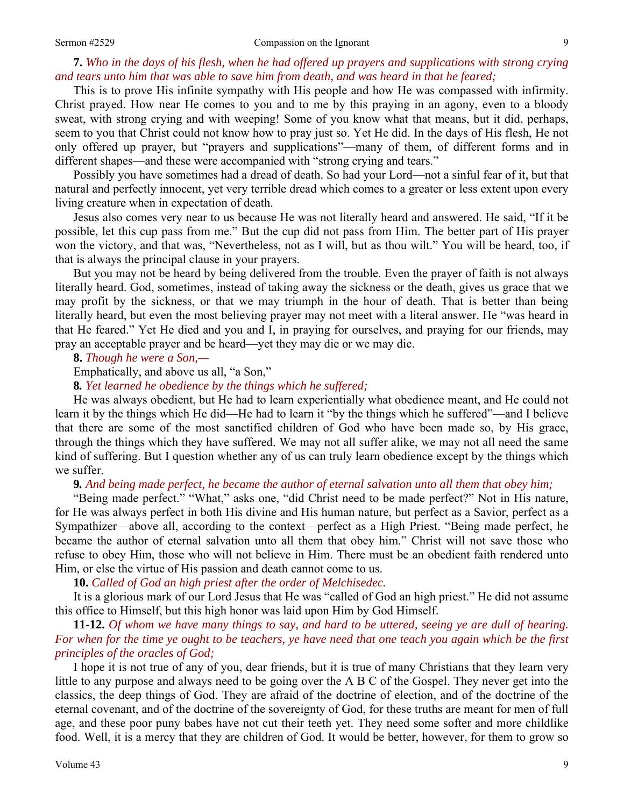### **7.** *Who in the days of his flesh, when he had offered up prayers and supplications with strong crying and tears unto him that was able to save him from death, and was heard in that he feared;*

This is to prove His infinite sympathy with His people and how He was compassed with infirmity. Christ prayed. How near He comes to you and to me by this praying in an agony, even to a bloody sweat, with strong crying and with weeping! Some of you know what that means, but it did, perhaps, seem to you that Christ could not know how to pray just so. Yet He did. In the days of His flesh, He not only offered up prayer, but "prayers and supplications"—many of them, of different forms and in different shapes—and these were accompanied with "strong crying and tears."

Possibly you have sometimes had a dread of death. So had your Lord—not a sinful fear of it, but that natural and perfectly innocent, yet very terrible dread which comes to a greater or less extent upon every living creature when in expectation of death.

Jesus also comes very near to us because He was not literally heard and answered. He said, "If it be possible, let this cup pass from me." But the cup did not pass from Him. The better part of His prayer won the victory, and that was, "Nevertheless, not as I will, but as thou wilt." You will be heard, too, if that is always the principal clause in your prayers.

But you may not be heard by being delivered from the trouble. Even the prayer of faith is not always literally heard. God, sometimes, instead of taking away the sickness or the death, gives us grace that we may profit by the sickness, or that we may triumph in the hour of death. That is better than being literally heard, but even the most believing prayer may not meet with a literal answer. He "was heard in that He feared." Yet He died and you and I, in praying for ourselves, and praying for our friends, may pray an acceptable prayer and be heard—yet they may die or we may die.

**8.** *Though he were a Son,—* 

Emphatically, and above us all, "a Son,"

**8***. Yet learned he obedience by the things which he suffered;* 

He was always obedient, but He had to learn experientially what obedience meant, and He could not learn it by the things which He did—He had to learn it "by the things which he suffered"—and I believe that there are some of the most sanctified children of God who have been made so, by His grace, through the things which they have suffered. We may not all suffer alike, we may not all need the same kind of suffering. But I question whether any of us can truly learn obedience except by the things which we suffer.

**9***. And being made perfect, he became the author of eternal salvation unto all them that obey him;* 

"Being made perfect." "What," asks one, "did Christ need to be made perfect?" Not in His nature, for He was always perfect in both His divine and His human nature, but perfect as a Savior, perfect as a Sympathizer—above all, according to the context—perfect as a High Priest. "Being made perfect, he became the author of eternal salvation unto all them that obey him." Christ will not save those who refuse to obey Him, those who will not believe in Him. There must be an obedient faith rendered unto Him, or else the virtue of His passion and death cannot come to us.

**10.** *Called of God an high priest after the order of Melchisedec.* 

It is a glorious mark of our Lord Jesus that He was "called of God an high priest." He did not assume this office to Himself, but this high honor was laid upon Him by God Himself.

**11-12.** *Of whom we have many things to say, and hard to be uttered, seeing ye are dull of hearing. For when for the time ye ought to be teachers, ye have need that one teach you again which be the first principles of the oracles of God;* 

I hope it is not true of any of you, dear friends, but it is true of many Christians that they learn very little to any purpose and always need to be going over the A B C of the Gospel. They never get into the classics, the deep things of God. They are afraid of the doctrine of election, and of the doctrine of the eternal covenant, and of the doctrine of the sovereignty of God, for these truths are meant for men of full age, and these poor puny babes have not cut their teeth yet. They need some softer and more childlike food. Well, it is a mercy that they are children of God. It would be better, however, for them to grow so